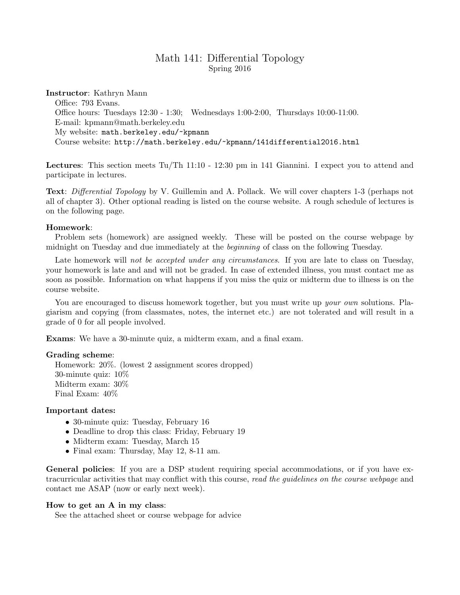# Math 141: Differential Topology Spring 2016

## Instructor: Kathryn Mann

Office: 793 Evans. Office hours: Tuesdays 12:30 - 1:30; Wednesdays 1:00-2:00, Thursdays 10:00-11:00. E-mail: kpmann@math.berkeley.edu My website: math.berkeley.edu/~kpmann Course website: http://math.berkeley.edu/~kpmann/141differential2016.html

Lectures: This section meets Tu/Th 11:10 - 12:30 pm in 141 Giannini. I expect you to attend and participate in lectures.

Text: Differential Topology by V. Guillemin and A. Pollack. We will cover chapters 1-3 (perhaps not all of chapter 3). Other optional reading is listed on the course website. A rough schedule of lectures is on the following page.

## Homework:

Problem sets (homework) are assigned weekly. These will be posted on the course webpage by midnight on Tuesday and due immediately at the beginning of class on the following Tuesday.

Late homework will not be accepted under any circumstances. If you are late to class on Tuesday, your homework is late and and will not be graded. In case of extended illness, you must contact me as soon as possible. Information on what happens if you miss the quiz or midterm due to illness is on the course website.

You are encouraged to discuss homework together, but you must write up your own solutions. Plagiarism and copying (from classmates, notes, the internet etc.) are not tolerated and will result in a grade of 0 for all people involved.

Exams: We have a 30-minute quiz, a midterm exam, and a final exam.

### Grading scheme:

Homework: 20%. (lowest 2 assignment scores dropped) 30-minute quiz: 10% Midterm exam: 30% Final Exam: 40%

## Important dates:

- 30-minute quiz: Tuesday, February 16
- Deadline to drop this class: Friday, February 19
- Midterm exam: Tuesday, March 15
- Final exam: Thursday, May 12, 8-11 am.

General policies: If you are a DSP student requiring special accommodations, or if you have extracurricular activities that may conflict with this course, read the guidelines on the course webpage and contact me ASAP (now or early next week).

#### How to get an A in my class:

See the attached sheet or course webpage for advice